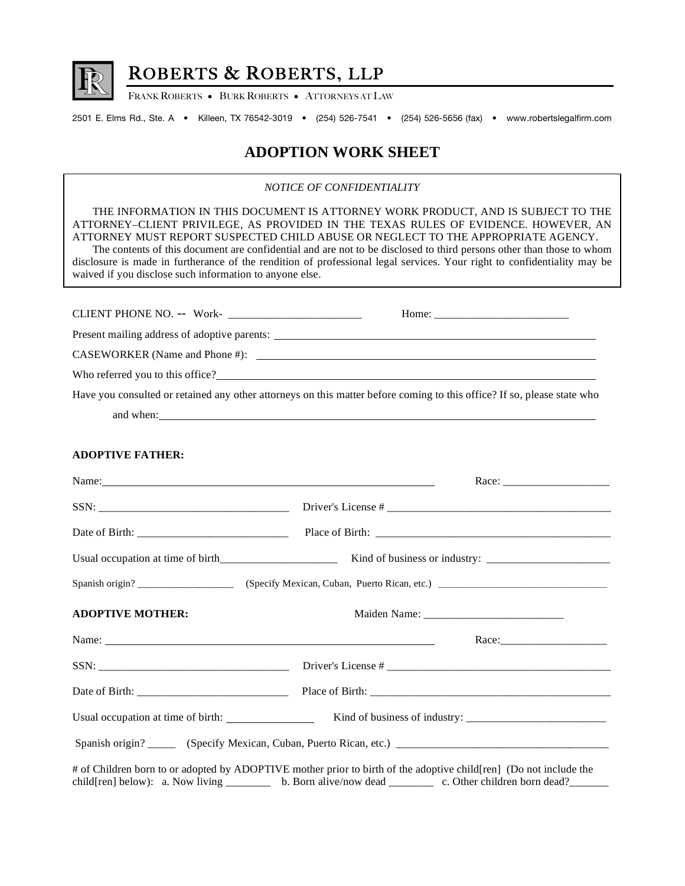

## ROBERTS & ROBERTS, LLP

FRANK ROBERTS • BURK ROBERTS • ATTORNEYS AT LAW

2501 E. Elms Rd., Ste. A • Killeen, TX 76542-3019 • (254) 526-7541 • (254) 526-5656 (fax) • www.robertslegalfirm.com

## **ADOPTION WORK SHEET**

*NOTICE OF CONFIDENTIALITY* 

THE INFORMATION IN THIS DOCUMENT IS ATTORNEY WORK PRODUCT, AND IS SUBJECT TO THE ATTORNEY–CLIENT PRIVILEGE, AS PROVIDED IN THE TEXAS RULES OF EVIDENCE. HOWEVER, AN ATTORNEY MUST REPORT SUSPECTED CHILD ABUSE OR NEGLECT TO THE APPROPRIATE AGENCY. The contents of this document are confidential and are not to be disclosed to third persons other than those to whom disclosure is made in furtherance of the rendition of professional legal services. Your right to confidentiality may be waived if you disclose such information to anyone else. CLIENT PHONE NO. -- Work- \_\_\_\_\_\_\_\_\_\_\_\_\_\_\_\_\_\_\_\_\_\_\_\_ Home: \_\_\_\_\_\_\_\_\_\_\_\_\_\_\_\_\_\_\_\_\_\_\_\_ Present mailing address of adoptive parents: CASEWORKER (Name and Phone #):  $\qquad \qquad$ Who referred you to this office? Have you consulted or retained any other attorneys on this matter before coming to this office? If so, please state who and when: **ADOPTIVE FATHER:**  Name: Race: SSN: The contract of the contract of the contract of the contract of the contract of the contract of the contract of the contract of the contract of the contract of the contract of the contract of the contract of the contr Date of Birth: \_\_\_\_\_\_\_\_\_\_\_\_\_\_\_\_\_\_\_\_\_\_\_\_\_\_\_ Place of Birth: \_\_\_\_\_\_\_\_\_\_\_\_\_\_\_\_\_\_\_\_\_\_\_\_\_\_\_\_\_\_\_\_\_\_\_\_\_\_\_\_\_\_ Usual occupation at time of birth\_\_\_\_\_\_\_\_\_\_\_\_\_\_\_\_\_\_\_\_\_ Kind of business or industry: \_\_\_\_\_\_\_\_\_\_\_\_\_\_\_\_\_\_\_\_\_\_ Spanish origin? \_\_\_\_\_\_\_\_\_\_\_\_\_\_\_\_\_\_\_ (Specify Mexican, Cuban, Puerto Rican, etc.) \_\_\_\_\_\_\_\_\_\_\_\_\_\_\_\_\_\_\_\_\_\_\_\_\_\_\_\_\_\_\_\_\_\_\_\_\_\_\_\_\_\_\_ **ADOPTIVE MOTHER:**  $\blacksquare$  **Maiden Name:**  $\blacksquare$ Name: Race:\_\_\_\_\_\_\_\_\_\_\_\_\_\_\_\_\_\_\_  $SSN:$   $\frac{SSN}{S}$ Date of Birth: \_\_\_\_\_\_\_\_\_\_\_\_\_\_\_\_\_\_\_\_\_\_\_\_\_\_\_ Place of Birth: \_\_\_\_\_\_\_\_\_\_\_\_\_\_\_\_\_\_\_\_\_\_\_\_\_\_\_\_\_\_\_\_\_\_\_\_\_\_\_\_\_\_\_ Usual occupation at time of birth: Kind of business of industry: \_\_\_\_\_\_\_\_\_\_\_\_\_\_\_\_\_\_\_\_\_\_\_\_\_ Spanish origin? \_\_\_\_\_ (Specify Mexican, Cuban, Puerto Rican, etc.) \_\_\_\_\_\_\_\_\_\_\_\_\_\_\_\_\_\_\_\_\_\_\_\_\_\_\_\_\_\_\_\_\_\_\_\_\_\_ # of Children born to or adopted by ADOPTIVE mother prior to birth of the adoptive child[ren] (Do not include the child[ren] below): a. Now living \_\_\_\_\_\_\_\_ b. Born alive/now dead \_\_\_\_\_\_\_ c. Other children born dead?\_\_\_\_\_\_\_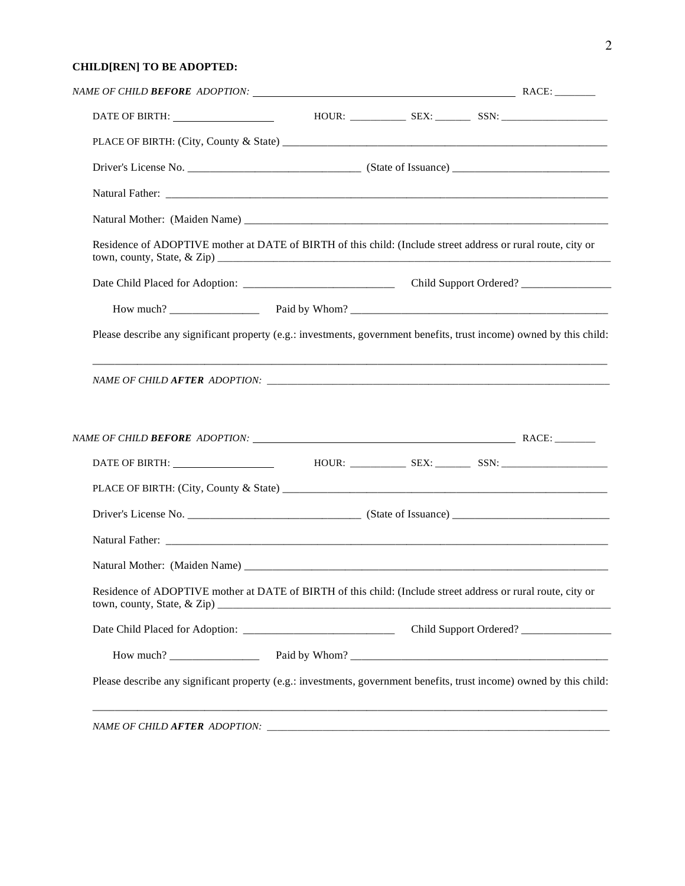## **CHILD[REN] TO BE ADOPTED:**

| Residence of ADOPTIVE mother at DATE of BIRTH of this child: (Include street address or rural route, city or                                |  |  |
|---------------------------------------------------------------------------------------------------------------------------------------------|--|--|
|                                                                                                                                             |  |  |
|                                                                                                                                             |  |  |
| Please describe any significant property (e.g.: investments, government benefits, trust income) owned by this child:                        |  |  |
|                                                                                                                                             |  |  |
|                                                                                                                                             |  |  |
|                                                                                                                                             |  |  |
|                                                                                                                                             |  |  |
|                                                                                                                                             |  |  |
|                                                                                                                                             |  |  |
|                                                                                                                                             |  |  |
| Residence of ADOPTIVE mother at DATE of BIRTH of this child: (Include street address or rural route, city or<br>town, county, State, & Zip) |  |  |
|                                                                                                                                             |  |  |
|                                                                                                                                             |  |  |